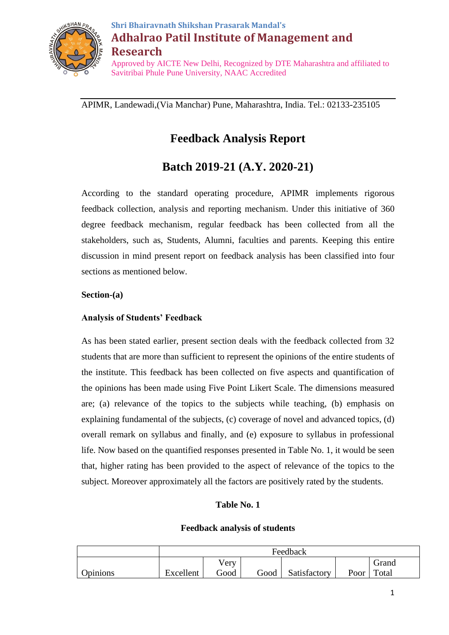

# **Shri Bhairavnath Shikshan Prasarak Mandal's Adhalrao Patil Institute of Management and Research** Approved by AICTE New Delhi, Recognized by DTE Maharashtra and affiliated to Savitribai Phule Pune University, NAAC Accredited

APIMR, Landewadi,(Via Manchar) Pune, Maharashtra, India. Tel.: 02133-235105

# **Feedback Analysis Report**

# **Batch 2019-21 (A.Y. 2020-21)**

According to the standard operating procedure, APIMR implements rigorous feedback collection, analysis and reporting mechanism. Under this initiative of 360 degree feedback mechanism, regular feedback has been collected from all the stakeholders, such as, Students, Alumni, faculties and parents. Keeping this entire discussion in mind present report on feedback analysis has been classified into four sections as mentioned below.

# **Section-(a)**

# **Analysis of Students' Feedback**

As has been stated earlier, present section deals with the feedback collected from 32 students that are more than sufficient to represent the opinions of the entire students of the institute. This feedback has been collected on five aspects and quantification of the opinions has been made using Five Point Likert Scale. The dimensions measured are; (a) relevance of the topics to the subjects while teaching, (b) emphasis on explaining fundamental of the subjects, (c) coverage of novel and advanced topics, (d) overall remark on syllabus and finally, and (e) exposure to syllabus in professional life. Now based on the quantified responses presented in Table No. 1, it would be seen that, higher rating has been provided to the aspect of relevance of the topics to the subject. Moreover approximately all the factors are positively rated by the students.

# **Table No. 1**

## **Feedback analysis of students**

|          | Feedback      |      |      |              |      |       |
|----------|---------------|------|------|--------------|------|-------|
|          | Very<br>Grand |      |      |              |      |       |
| Opinions | Excellent     | Good | Good | Satisfactory | Poor | Total |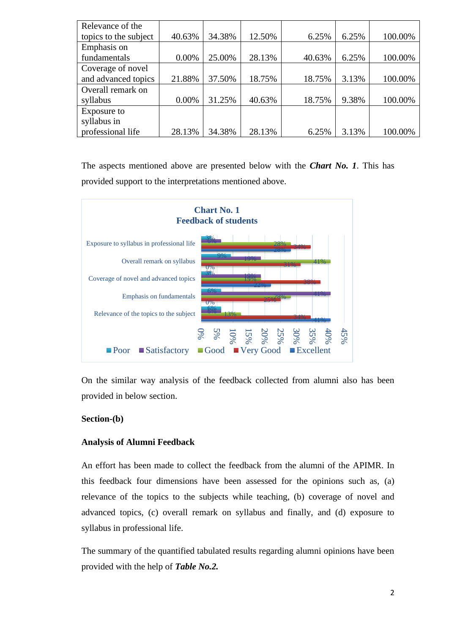| Relevance of the      |          |        |        |        |       |         |
|-----------------------|----------|--------|--------|--------|-------|---------|
| topics to the subject | 40.63%   | 34.38% | 12.50% | 6.25%  | 6.25% | 100.00% |
| Emphasis on           |          |        |        |        |       |         |
| fundamentals          | 0.00%    | 25.00% | 28.13% | 40.63% | 6.25% | 100.00% |
| Coverage of novel     |          |        |        |        |       |         |
| and advanced topics   | 21.88%   | 37.50% | 18.75% | 18.75% | 3.13% | 100.00% |
| Overall remark on     |          |        |        |        |       |         |
| syllabus              | $0.00\%$ | 31.25% | 40.63% | 18.75% | 9.38% | 100.00% |
| Exposure to           |          |        |        |        |       |         |
| syllabus in           |          |        |        |        |       |         |
| professional life     | 28.13%   | 34.38% | 28.13% | 6.25%  | 3.13% | 100.00% |

The aspects mentioned above are presented below with the *Chart No. 1*. This has provided support to the interpretations mentioned above.



On the similar way analysis of the feedback collected from alumni also has been provided in below section.

#### **Section-(b)**

#### **Analysis of Alumni Feedback**

An effort has been made to collect the feedback from the alumni of the APIMR. In this feedback four dimensions have been assessed for the opinions such as, (a) relevance of the topics to the subjects while teaching, (b) coverage of novel and advanced topics, (c) overall remark on syllabus and finally, and (d) exposure to syllabus in professional life.

The summary of the quantified tabulated results regarding alumni opinions have been provided with the help of *Table No.2.*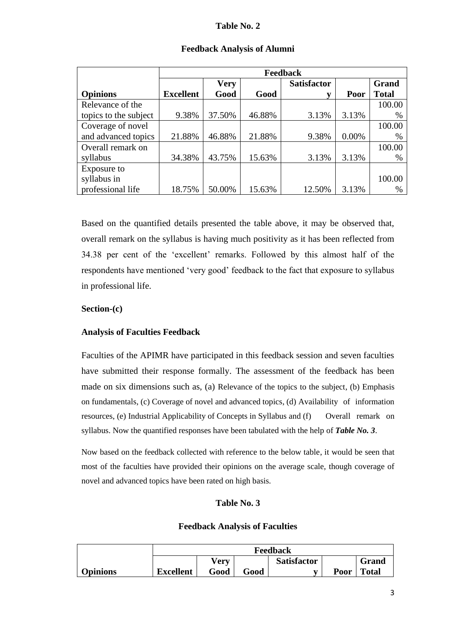#### **Table No. 2**

|                       | Feedback         |             |        |                    |       |              |
|-----------------------|------------------|-------------|--------|--------------------|-------|--------------|
|                       |                  | <b>Very</b> |        | <b>Satisfactor</b> |       | Grand        |
| <b>Opinions</b>       | <b>Excellent</b> | Good        | Good   | v                  | Poor  | <b>Total</b> |
| Relevance of the      |                  |             |        |                    |       | 100.00       |
| topics to the subject | 9.38%            | 37.50%      | 46.88% | 3.13%              | 3.13% | $\%$         |
| Coverage of novel     |                  |             |        |                    |       | 100.00       |
| and advanced topics   | 21.88%           | 46.88%      | 21.88% | 9.38%              | 0.00% | $\%$         |
| Overall remark on     |                  |             |        |                    |       | 100.00       |
| syllabus              | 34.38%           | 43.75%      | 15.63% | 3.13%              | 3.13% | $\%$         |
| Exposure to           |                  |             |        |                    |       |              |
| syllabus in           |                  |             |        |                    |       | 100.00       |
| professional life     | 18.75%           | 50.00%      | 15.63% | 12.50%             | 3.13% | $\%$         |

#### **Feedback Analysis of Alumni**

Based on the quantified details presented the table above, it may be observed that, overall remark on the syllabus is having much positivity as it has been reflected from 34.38 per cent of the 'excellent' remarks. Followed by this almost half of the respondents have mentioned 'very good' feedback to the fact that exposure to syllabus in professional life.

## **Section-(c)**

## **Analysis of Faculties Feedback**

Faculties of the APIMR have participated in this feedback session and seven faculties have submitted their response formally. The assessment of the feedback has been made on six dimensions such as, (a) Relevance of the topics to the subject, (b) Emphasis on fundamentals, (c) Coverage of novel and advanced topics, (d) Availability of information resources, (e) Industrial Applicability of Concepts in Syllabus and (f) Overall remark on syllabus. Now the quantified responses have been tabulated with the help of *Table No. 3*.

Now based on the feedback collected with reference to the below table, it would be seen that most of the faculties have provided their opinions on the average scale, though coverage of novel and advanced topics have been rated on high basis.

## **Table No. 3**

## **Feedback Analysis of Faculties**

|                 | Feedback                                   |      |      |              |      |              |
|-----------------|--------------------------------------------|------|------|--------------|------|--------------|
|                 | Grand<br><b>Very</b><br><b>Satisfactor</b> |      |      |              |      |              |
| <b>Opinions</b> | <b>Excellent</b>                           | Good | Good | $\mathbf{r}$ | Poor | <b>Total</b> |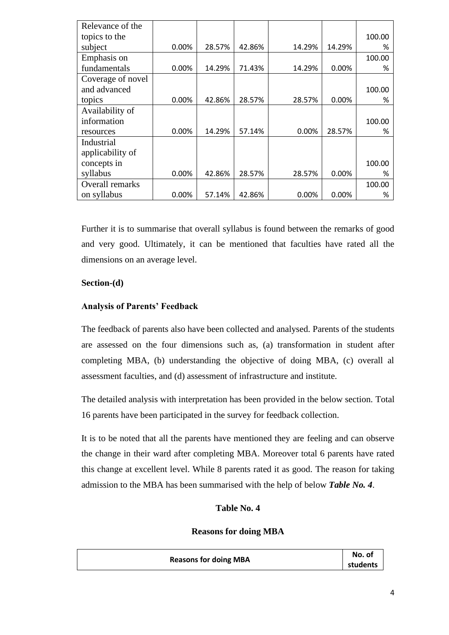| Relevance of the  |          |        |        |          |          |        |
|-------------------|----------|--------|--------|----------|----------|--------|
| topics to the     |          |        |        |          |          | 100.00 |
| subject           | 0.00%    | 28.57% | 42.86% | 14.29%   | 14.29%   | %      |
| Emphasis on       |          |        |        |          |          | 100.00 |
| fundamentals      | 0.00%    | 14.29% | 71.43% | 14.29%   | 0.00%    | %      |
| Coverage of novel |          |        |        |          |          |        |
| and advanced      |          |        |        |          |          | 100.00 |
| topics            | 0.00%    | 42.86% | 28.57% | 28.57%   | 0.00%    | %      |
| Availability of   |          |        |        |          |          |        |
| information       |          |        |        |          |          | 100.00 |
| resources         | 0.00%    | 14.29% | 57.14% | 0.00%    | 28.57%   | %      |
| Industrial        |          |        |        |          |          |        |
| applicability of  |          |        |        |          |          |        |
| concepts in       |          |        |        |          |          | 100.00 |
| syllabus          | 0.00%    | 42.86% | 28.57% | 28.57%   | 0.00%    | %      |
| Overall remarks   |          |        |        |          |          | 100.00 |
| on syllabus       | $0.00\%$ | 57.14% | 42.86% | $0.00\%$ | $0.00\%$ | %      |

Further it is to summarise that overall syllabus is found between the remarks of good and very good. Ultimately, it can be mentioned that faculties have rated all the dimensions on an average level.

## **Section-(d)**

#### **Analysis of Parents' Feedback**

The feedback of parents also have been collected and analysed. Parents of the students are assessed on the four dimensions such as, (a) transformation in student after completing MBA, (b) understanding the objective of doing MBA, (c) overall al assessment faculties, and (d) assessment of infrastructure and institute.

The detailed analysis with interpretation has been provided in the below section. Total 16 parents have been participated in the survey for feedback collection.

It is to be noted that all the parents have mentioned they are feeling and can observe the change in their ward after completing MBA. Moreover total 6 parents have rated this change at excellent level. While 8 parents rated it as good. The reason for taking admission to the MBA has been summarised with the help of below *Table No. 4*.

# **Table No. 4**

#### **Reasons for doing MBA**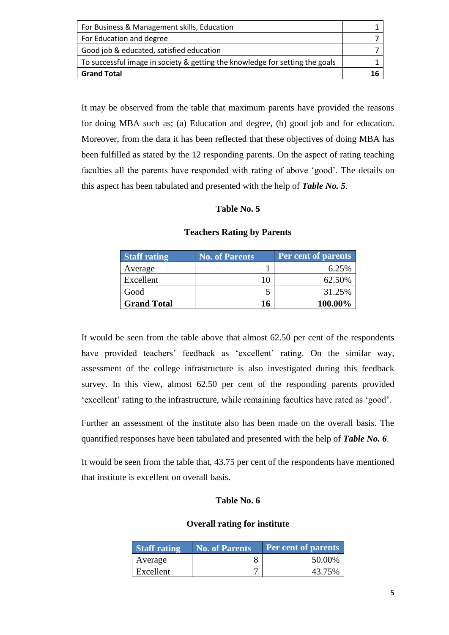| For Business & Management skills, Education                                  |  |
|------------------------------------------------------------------------------|--|
| For Education and degree                                                     |  |
| Good job & educated, satisfied education                                     |  |
| To successful image in society & getting the knowledge for setting the goals |  |
| <b>Grand Total</b>                                                           |  |

It may be observed from the table that maximum parents have provided the reasons for doing MBA such as; (a) Education and degree, (b) good job and for education. Moreover, from the data it has been reflected that these objectives of doing MBA has been fulfilled as stated by the 12 responding parents. On the aspect of rating teaching faculties all the parents have responded with rating of above 'good'. The details on this aspect has been tabulated and presented with the help of *Table No. 5*.

## **Table No. 5**

| <b>Staff rating</b> | No. of Parents | <b>Per cent of parents</b> |
|---------------------|----------------|----------------------------|
| Average             |                | 6.25%                      |
| Excellent           | 10             | 62.50%                     |
| Good                |                | 31.25%                     |
| <b>Grand Total</b>  | 16             | 100.00%                    |

#### **Teachers Rating by Parents**

It would be seen from the table above that almost 62.50 per cent of the respondents have provided teachers' feedback as 'excellent' rating. On the similar way, assessment of the college infrastructure is also investigated during this feedback survey. In this view, almost 62.50 per cent of the responding parents provided 'excellent' rating to the infrastructure, while remaining faculties have rated as 'good'.

Further an assessment of the institute also has been made on the overall basis. The quantified responses have been tabulated and presented with the help of *Table No. 6*.

It would be seen from the table that, 43.75 per cent of the respondents have mentioned that institute is excellent on overall basis.

## **Table No. 6**

## **Overall rating for institute**

| <b>Staff rating</b> | <b>No. of Parents</b> | <b>Per cent of parents</b> |
|---------------------|-----------------------|----------------------------|
| Average             |                       | 50.00%                     |
| Excellent           |                       | 43.75%                     |